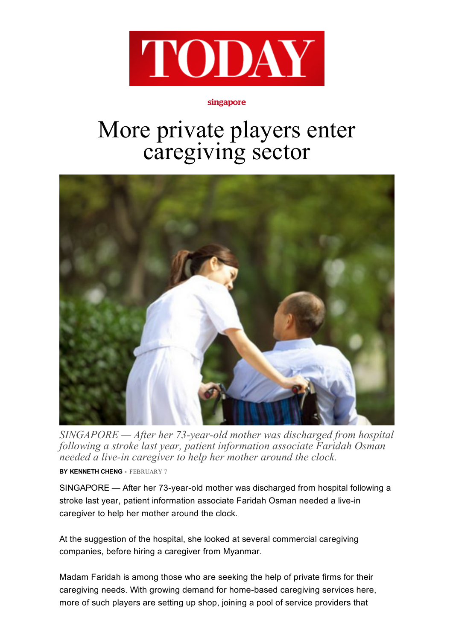

## singapore

## More private players enter caregiving sector



 $SINGAPORE$  - After her 73-year-old mother was discharged from hospital following a stroke last year, patient information associate Faridah Osman needed a live-in caregiver to help her mother around the clock.

BY KENNETH CHENG - FEBRUARY 7

SINGAPORE — After her 73-year-old mother was discharged from hospital following a stroke last year, patient information associate Faridah Osman needed a live-in caregiver to help her mother around the clock.

At the suggestion of the hospital, she looked at several commercial caregiving companies, before hiring a caregiver from Myanmar.

Madam Faridah is among those who are seeking the help of private firms for their caregiving needs. With growing demand for home-based caregiving services here, more of such players are setting up shop, joining a pool of service providers that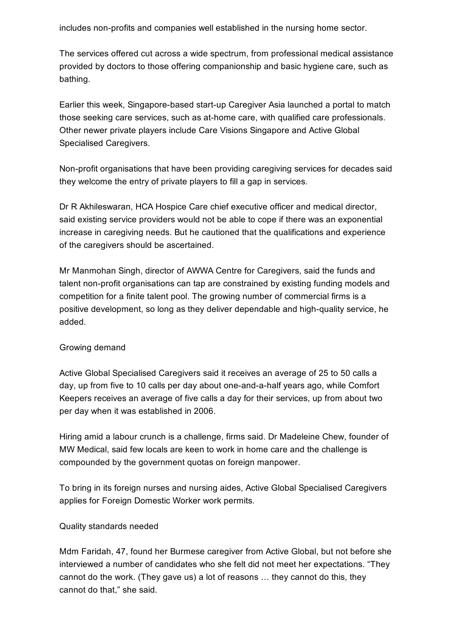includes non-profits and companies well established in the nursing home sector.

The services offered cut across a wide spectrum, from professional medical assistance provided by doctors to those offering companionship and basic hygiene care, such as bathing.

Earlier this week, Singapore-based start-up Caregiver Asia launched a portal to match those seeking care services, such as at-home care, with qualified care professionals. Other newer private players include Care Visions Singapore and Active Global Specialised Caregivers.

Non-profit organisations that have been providing caregiving services for decades said they welcome the entry of private players to fill a gap in services.

Dr R Akhileswaran, HCA Hospice Care chief executive officer and medical director, said existing service providers would not be able to cope if there was an exponential increase in caregiving needs. But he cautioned that the qualifications and experience of the caregivers should be ascertained.

Mr Manmohan Singh, director of AWWA Centre for Caregivers, said the funds and talent non-profit organisations can tap are constrained by existing funding models and competition for a finite talent pool. The growing number of commercial firms is a positive development, so long as they deliver dependable and high-quality service, he added.

## Growing demand

Active Global Specialised Caregivers said it receives an average of 25 to 50 calls a day, up from five to 10 calls per day about one-and-a-half years ago, while Comfort Keepers receives an average of five calls a day for their services, up from about two per day when it was established in 2006.

Hiring amid a labour crunch is a challenge, firms said. Dr Madeleine Chew, founder of MW Medical, said few locals are keen to work in home care and the challenge is compounded by the government quotas on foreign manpower.

To bring in its foreign nurses and nursing aides, Active Global Specialised Caregivers applies for Foreign Domestic Worker work permits.

## Quality standards needed

Mdm Faridah, 47, found her Burmese caregiver from Active Global, but not before she interviewed a number of candidates who she felt did not meet her expectations. "They cannot do the work. (They gave us) a lot of reasons … they cannot do this, they cannot do that," she said.